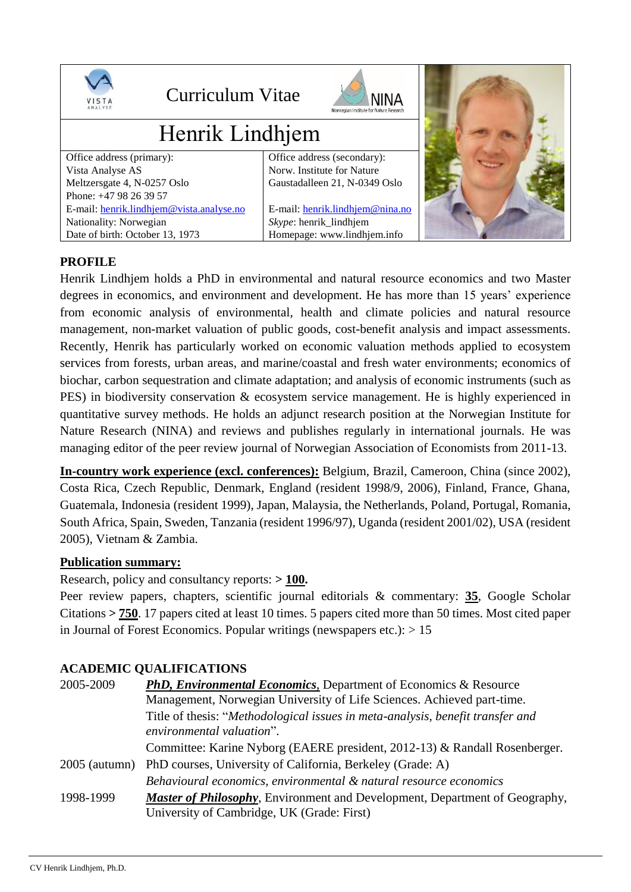

# **PROFILE**

Henrik Lindhjem holds a PhD in environmental and natural resource economics and two Master degrees in economics, and environment and development. He has more than 15 years' experience from economic analysis of environmental, health and climate policies and natural resource management, non-market valuation of public goods, cost-benefit analysis and impact assessments. Recently, Henrik has particularly worked on economic valuation methods applied to ecosystem services from forests, urban areas, and marine/coastal and fresh water environments; economics of biochar, carbon sequestration and climate adaptation; and analysis of economic instruments (such as PES) in biodiversity conservation & ecosystem service management. He is highly experienced in quantitative survey methods. He holds an adjunct research position at the Norwegian Institute for Nature Research (NINA) and reviews and publishes regularly in international journals. He was managing editor of the peer review journal of Norwegian Association of Economists from 2011-13.

**In-country work experience (excl. conferences):** Belgium, Brazil, Cameroon, China (since 2002), Costa Rica, Czech Republic, Denmark, England (resident 1998/9, 2006), Finland, France, Ghana, Guatemala, Indonesia (resident 1999), Japan, Malaysia, the Netherlands, Poland, Portugal, Romania, South Africa, Spain, Sweden, Tanzania (resident 1996/97), Uganda (resident 2001/02), USA (resident 2005), Vietnam & Zambia.

### **Publication summary:**

Research, policy and consultancy reports: **> 100.**

Peer review papers, chapters, scientific journal editorials & commentary: 35, Google Scholar Citations **> 750**. 17 papers cited at least 10 times. 5 papers cited more than 50 times. Most cited paper in Journal of Forest Economics. Popular writings (newspapers etc.):  $> 15$ 

# **ACADEMIC QUALIFICATIONS**

| 2005-2009       | <b>PhD, Environmental Economics, Department of Economics &amp; Resource</b>         |
|-----------------|-------------------------------------------------------------------------------------|
|                 | Management, Norwegian University of Life Sciences. Achieved part-time.              |
|                 | Title of thesis: "Methodological issues in meta-analysis, benefit transfer and      |
|                 | environmental valuation".                                                           |
|                 | Committee: Karine Nyborg (EAERE president, 2012-13) & Randall Rosenberger.          |
| $2005$ (autumn) | PhD courses, University of California, Berkeley (Grade: A)                          |
|                 | Behavioural economics, environmental & natural resource economics                   |
| 1998-1999       | <b>Master of Philosophy</b> , Environment and Development, Department of Geography, |
|                 | University of Cambridge, UK (Grade: First)                                          |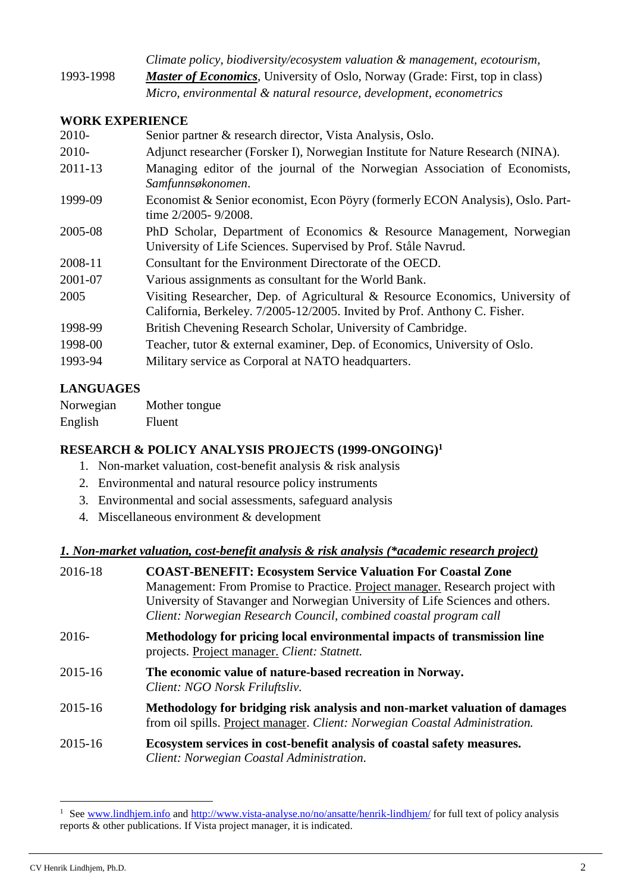*Climate policy, biodiversity/ecosystem valuation & management, ecotourism,*  1993-1998 *Master of Economics*, University of Oslo, Norway (Grade: First, top in class) *Micro, environmental & natural resource, development, econometrics*

### **WORK EXPERIENCE**

| 2010-   | Senior partner & research director, Vista Analysis, Oslo.                                                                                                  |
|---------|------------------------------------------------------------------------------------------------------------------------------------------------------------|
| 2010-   | Adjunct researcher (Forsker I), Norwegian Institute for Nature Research (NINA).                                                                            |
| 2011-13 | Managing editor of the journal of the Norwegian Association of Economists,<br>Samfunnsøkonomen.                                                            |
| 1999-09 | Economist & Senior economist, Econ Pöyry (formerly ECON Analysis), Oslo. Part-<br>time 2/2005-9/2008.                                                      |
| 2005-08 | PhD Scholar, Department of Economics & Resource Management, Norwegian<br>University of Life Sciences. Supervised by Prof. Ståle Navrud.                    |
| 2008-11 | Consultant for the Environment Directorate of the OECD.                                                                                                    |
| 2001-07 | Various assignments as consultant for the World Bank.                                                                                                      |
| 2005    | Visiting Researcher, Dep. of Agricultural & Resource Economics, University of<br>California, Berkeley. 7/2005-12/2005. Invited by Prof. Anthony C. Fisher. |
| 1998-99 | British Chevening Research Scholar, University of Cambridge.                                                                                               |
| 1998-00 | Teacher, tutor & external examiner, Dep. of Economics, University of Oslo.                                                                                 |
| 1993-94 | Military service as Corporal at NATO headquarters.                                                                                                         |

# **LANGUAGES**

Norwegian Mother tongue English Fluent

# **RESEARCH & POLICY ANALYSIS PROJECTS (1999-ONGOING) 1**

- 1. Non-market valuation, cost-benefit analysis & risk analysis
- 2. Environmental and natural resource policy instruments
- 3. Environmental and social assessments, safeguard analysis
- 4. Miscellaneous environment & development

# *1. Non-market valuation, cost-benefit analysis & risk analysis (\*academic research project)*

| 2016-18 | <b>COAST-BENEFIT: Ecosystem Service Valuation For Coastal Zone</b>                                                                                        |
|---------|-----------------------------------------------------------------------------------------------------------------------------------------------------------|
|         | Management: From Promise to Practice. Project manager. Research project with                                                                              |
|         | University of Stavanger and Norwegian University of Life Sciences and others.                                                                             |
|         | Client: Norwegian Research Council, combined coastal program call                                                                                         |
| $2016-$ | Methodology for pricing local environmental impacts of transmission line<br>projects. Project manager. Client: Statnett.                                  |
| 2015-16 | The economic value of nature-based recreation in Norway.<br>Client: NGO Norsk Friluftsliv.                                                                |
| 2015-16 | Methodology for bridging risk analysis and non-market valuation of damages<br>from oil spills. Project manager. Client: Norwegian Coastal Administration. |
| 2015-16 | Ecosystem services in cost-benefit analysis of coastal safety measures.<br>Client: Norwegian Coastal Administration.                                      |

-

<sup>&</sup>lt;sup>1</sup> Se[e www.lindhjem.info](http://www.lindhjem.info/) and<http://www.vista-analyse.no/no/ansatte/henrik-lindhjem/> for full text of policy analysis reports & other publications. If Vista project manager, it is indicated.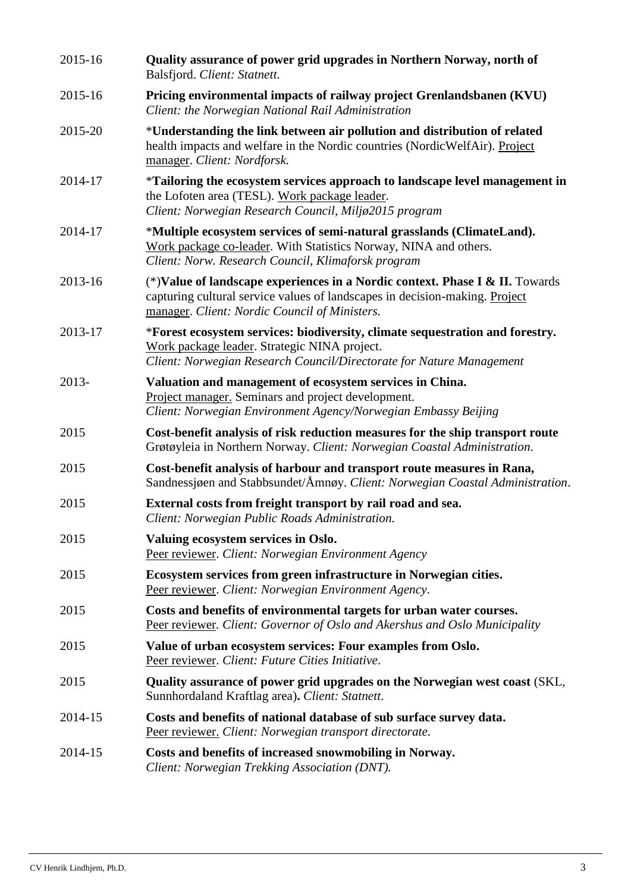| 2015-16 | Quality assurance of power grid upgrades in Northern Norway, north of<br>Balsfjord. Client: Statnett.                                                                                                         |
|---------|---------------------------------------------------------------------------------------------------------------------------------------------------------------------------------------------------------------|
| 2015-16 | Pricing environmental impacts of railway project Grenlandsbanen (KVU)<br>Client: the Norwegian National Rail Administration                                                                                   |
| 2015-20 | *Understanding the link between air pollution and distribution of related<br>health impacts and welfare in the Nordic countries (NordicWelfAir). Project<br>manager. Client: Nordforsk.                       |
| 2014-17 | *Tailoring the ecosystem services approach to landscape level management in<br>the Lofoten area (TESL). Work package leader.<br>Client: Norwegian Research Council, Miljø2015 program                         |
| 2014-17 | *Multiple ecosystem services of semi-natural grasslands (ClimateLand).<br>Work package co-leader. With Statistics Norway, NINA and others.<br>Client: Norw. Research Council, Klimaforsk program              |
| 2013-16 | (*) Value of landscape experiences in a Nordic context. Phase I & II. Towards<br>capturing cultural service values of landscapes in decision-making. Project<br>manager. Client: Nordic Council of Ministers. |
| 2013-17 | *Forest ecosystem services: biodiversity, climate sequestration and forestry.<br>Work package leader. Strategic NINA project.<br>Client: Norwegian Research Council/Directorate for Nature Management         |
| 2013-   | Valuation and management of ecosystem services in China.<br>Project manager. Seminars and project development.<br>Client: Norwegian Environment Agency/Norwegian Embassy Beijing                              |
| 2015    | Cost-benefit analysis of risk reduction measures for the ship transport route<br>Grøtøyleia in Northern Norway. Client: Norwegian Coastal Administration.                                                     |
| 2015    | Cost-benefit analysis of harbour and transport route measures in Rana,<br>Sandnessigen and Stabbsundet/Amngy. Client: Norwegian Coastal Administration.                                                       |
| 2015    | External costs from freight transport by rail road and sea.<br>Client: Norwegian Public Roads Administration.                                                                                                 |
| 2015    | Valuing ecosystem services in Oslo.<br>Peer reviewer. Client: Norwegian Environment Agency                                                                                                                    |
| 2015    | Ecosystem services from green infrastructure in Norwegian cities.<br>Peer reviewer. Client: Norwegian Environment Agency.                                                                                     |
| 2015    | Costs and benefits of environmental targets for urban water courses.<br>Peer reviewer. Client: Governor of Oslo and Akershus and Oslo Municipality                                                            |
| 2015    | Value of urban ecosystem services: Four examples from Oslo.<br>Peer reviewer. Client: Future Cities Initiative.                                                                                               |
| 2015    | Quality assurance of power grid upgrades on the Norwegian west coast (SKL,<br>Sunnhordaland Kraftlag area). Client: Statnett.                                                                                 |
| 2014-15 | Costs and benefits of national database of sub surface survey data.<br>Peer reviewer. Client: Norwegian transport directorate.                                                                                |
| 2014-15 | Costs and benefits of increased snowmobiling in Norway.<br>Client: Norwegian Trekking Association (DNT).                                                                                                      |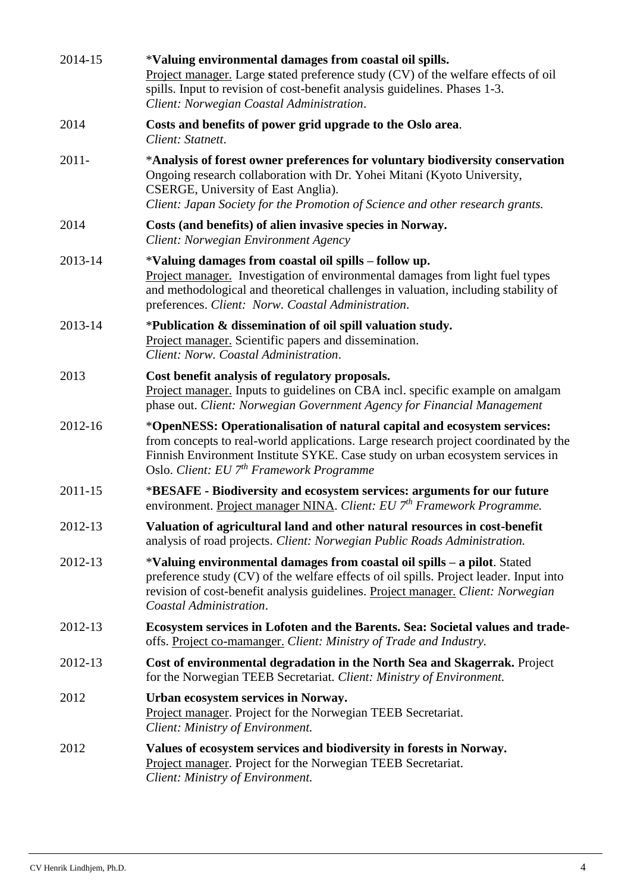| 2014-15  | *Valuing environmental damages from coastal oil spills.<br>Project manager. Large stated preference study (CV) of the welfare effects of oil<br>spills. Input to revision of cost-benefit analysis guidelines. Phases 1-3.<br>Client: Norwegian Coastal Administration.                                  |
|----------|----------------------------------------------------------------------------------------------------------------------------------------------------------------------------------------------------------------------------------------------------------------------------------------------------------|
| 2014     | Costs and benefits of power grid upgrade to the Oslo area.<br>Client: Statnett.                                                                                                                                                                                                                          |
| $2011 -$ | *Analysis of forest owner preferences for voluntary biodiversity conservation<br>Ongoing research collaboration with Dr. Yohei Mitani (Kyoto University,<br>CSERGE, University of East Anglia).<br>Client: Japan Society for the Promotion of Science and other research grants.                         |
| 2014     | Costs (and benefits) of alien invasive species in Norway.<br>Client: Norwegian Environment Agency                                                                                                                                                                                                        |
| 2013-14  | *Valuing damages from coastal oil spills – follow up.<br>Project manager. Investigation of environmental damages from light fuel types<br>and methodological and theoretical challenges in valuation, including stability of<br>preferences. Client: Norw. Coastal Administration.                       |
| 2013-14  | *Publication & dissemination of oil spill valuation study.<br>Project manager. Scientific papers and dissemination.<br>Client: Norw. Coastal Administration.                                                                                                                                             |
| 2013     | Cost benefit analysis of regulatory proposals.<br>Project manager. Inputs to guidelines on CBA incl. specific example on amalgam<br>phase out. Client: Norwegian Government Agency for Financial Management                                                                                              |
| 2012-16  | *OpenNESS: Operationalisation of natural capital and ecosystem services:<br>from concepts to real-world applications. Large research project coordinated by the<br>Finnish Environment Institute SYKE. Case study on urban ecosystem services in<br>Oslo. Client: EU 7 <sup>th</sup> Framework Programme |
| 2011-15  | *BESAFE - Biodiversity and ecosystem services: arguments for our future<br>environment. Project manager NINA. Client: EU 7 <sup>th</sup> Framework Programme.                                                                                                                                            |
| 2012-13  | Valuation of agricultural land and other natural resources in cost-benefit<br>analysis of road projects. Client: Norwegian Public Roads Administration.                                                                                                                                                  |
| 2012-13  | *Valuing environmental damages from coastal oil spills – a pilot. Stated<br>preference study (CV) of the welfare effects of oil spills. Project leader. Input into<br>revision of cost-benefit analysis guidelines. Project manager. Client: Norwegian<br>Coastal Administration.                        |
| 2012-13  | Ecosystem services in Lofoten and the Barents. Sea: Societal values and trade-<br>offs. Project co-mamanger. Client: Ministry of Trade and Industry.                                                                                                                                                     |
| 2012-13  | Cost of environmental degradation in the North Sea and Skagerrak. Project<br>for the Norwegian TEEB Secretariat. Client: Ministry of Environment.                                                                                                                                                        |
| 2012     | Urban ecosystem services in Norway.<br>Project manager. Project for the Norwegian TEEB Secretariat.<br>Client: Ministry of Environment.                                                                                                                                                                  |
| 2012     | Values of ecosystem services and biodiversity in forests in Norway.<br>Project manager. Project for the Norwegian TEEB Secretariat.<br>Client: Ministry of Environment.                                                                                                                                  |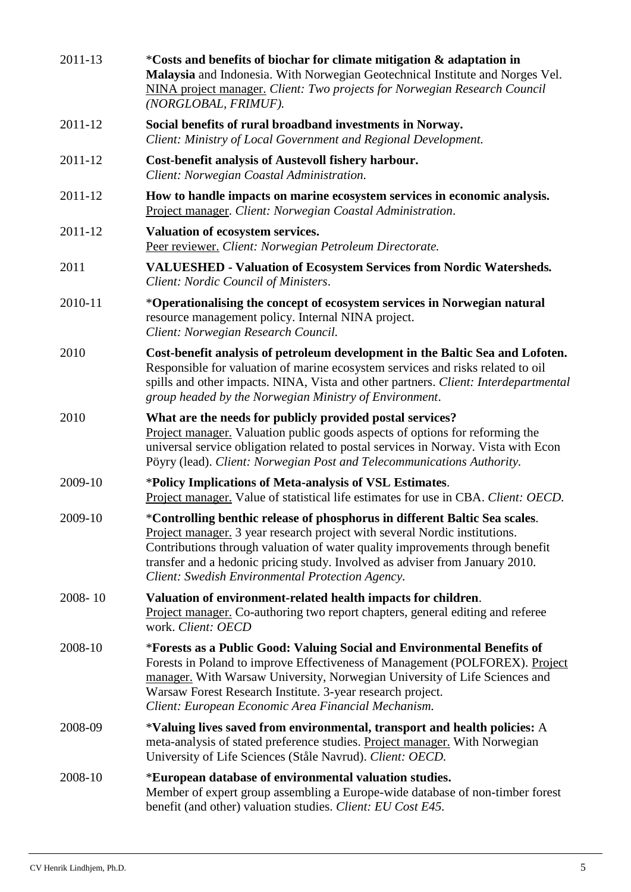| 2011-13     | *Costs and benefits of biochar for climate mitigation & adaptation in<br>Malaysia and Indonesia. With Norwegian Geotechnical Institute and Norges Vel.<br>NINA project manager. Client: Two projects for Norwegian Research Council<br>(NORGLOBAL, FRIMUF).                                                                                                                          |
|-------------|--------------------------------------------------------------------------------------------------------------------------------------------------------------------------------------------------------------------------------------------------------------------------------------------------------------------------------------------------------------------------------------|
| 2011-12     | Social benefits of rural broadband investments in Norway.<br>Client: Ministry of Local Government and Regional Development.                                                                                                                                                                                                                                                          |
| 2011-12     | Cost-benefit analysis of Austevoll fishery harbour.<br>Client: Norwegian Coastal Administration.                                                                                                                                                                                                                                                                                     |
| 2011-12     | How to handle impacts on marine ecosystem services in economic analysis.<br>Project manager. Client: Norwegian Coastal Administration.                                                                                                                                                                                                                                               |
| 2011-12     | Valuation of ecosystem services.<br>Peer reviewer. Client: Norwegian Petroleum Directorate.                                                                                                                                                                                                                                                                                          |
| 2011        | <b>VALUESHED - Valuation of Ecosystem Services from Nordic Watersheds.</b><br>Client: Nordic Council of Ministers.                                                                                                                                                                                                                                                                   |
| 2010-11     | *Operationalising the concept of ecosystem services in Norwegian natural<br>resource management policy. Internal NINA project.<br>Client: Norwegian Research Council.                                                                                                                                                                                                                |
| 2010        | Cost-benefit analysis of petroleum development in the Baltic Sea and Lofoten.<br>Responsible for valuation of marine ecosystem services and risks related to oil<br>spills and other impacts. NINA, Vista and other partners. Client: Interdepartmental<br>group headed by the Norwegian Ministry of Environment.                                                                    |
| 2010        | What are the needs for publicly provided postal services?<br>Project manager. Valuation public goods aspects of options for reforming the<br>universal service obligation related to postal services in Norway. Vista with Econ<br>Pöyry (lead). Client: Norwegian Post and Telecommunications Authority.                                                                            |
| 2009-10     | *Policy Implications of Meta-analysis of VSL Estimates.<br>Project manager. Value of statistical life estimates for use in CBA. Client: OECD.                                                                                                                                                                                                                                        |
| 2009-10     | *Controlling benthic release of phosphorus in different Baltic Sea scales.<br><b>Project manager.</b> 3 year research project with several Nordic institutions.<br>Contributions through valuation of water quality improvements through benefit<br>transfer and a hedonic pricing study. Involved as adviser from January 2010.<br>Client: Swedish Environmental Protection Agency. |
| $2008 - 10$ | Valuation of environment-related health impacts for children.<br>Project manager. Co-authoring two report chapters, general editing and referee<br>work. Client: OECD                                                                                                                                                                                                                |
| 2008-10     | *Forests as a Public Good: Valuing Social and Environmental Benefits of<br>Forests in Poland to improve Effectiveness of Management (POLFOREX). Project<br>manager. With Warsaw University, Norwegian University of Life Sciences and<br>Warsaw Forest Research Institute. 3-year research project.<br>Client: European Economic Area Financial Mechanism.                           |
| 2008-09     | *Valuing lives saved from environmental, transport and health policies: A<br>meta-analysis of stated preference studies. Project manager. With Norwegian<br>University of Life Sciences (Ståle Navrud). Client: OECD.                                                                                                                                                                |
| 2008-10     | *European database of environmental valuation studies.<br>Member of expert group assembling a Europe-wide database of non-timber forest<br>benefit (and other) valuation studies. Client: EU Cost E45.                                                                                                                                                                               |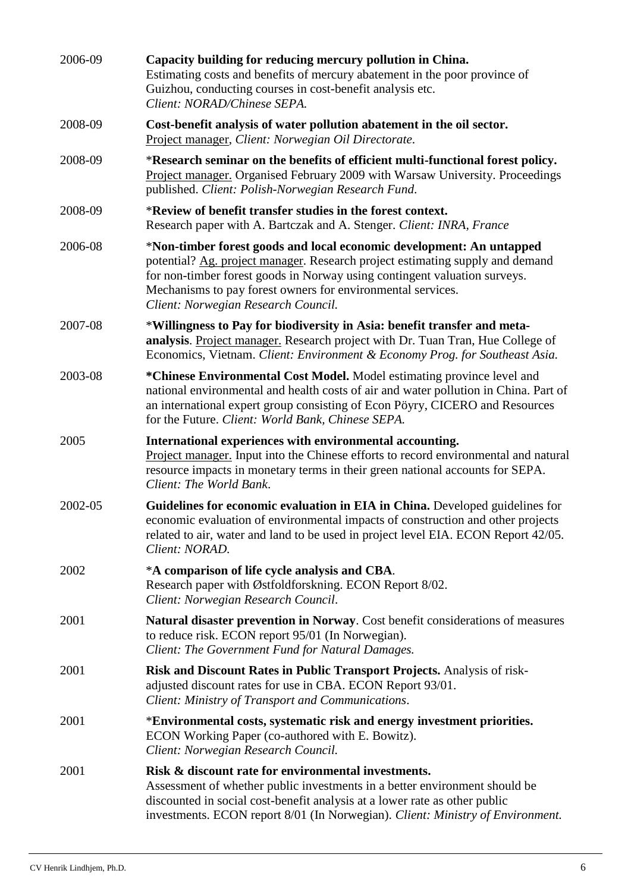| 2006-09 | Capacity building for reducing mercury pollution in China.<br>Estimating costs and benefits of mercury abatement in the poor province of<br>Guizhou, conducting courses in cost-benefit analysis etc.<br>Client: NORAD/Chinese SEPA.                                                                                                     |
|---------|------------------------------------------------------------------------------------------------------------------------------------------------------------------------------------------------------------------------------------------------------------------------------------------------------------------------------------------|
| 2008-09 | Cost-benefit analysis of water pollution abatement in the oil sector.<br>Project manager, Client: Norwegian Oil Directorate.                                                                                                                                                                                                             |
| 2008-09 | *Research seminar on the benefits of efficient multi-functional forest policy.<br>Project manager. Organised February 2009 with Warsaw University. Proceedings<br>published. Client: Polish-Norwegian Research Fund.                                                                                                                     |
| 2008-09 | *Review of benefit transfer studies in the forest context.<br>Research paper with A. Bartczak and A. Stenger. Client: INRA, France                                                                                                                                                                                                       |
| 2006-08 | *Non-timber forest goods and local economic development: An untapped<br>potential? Ag. project manager. Research project estimating supply and demand<br>for non-timber forest goods in Norway using contingent valuation surveys.<br>Mechanisms to pay forest owners for environmental services.<br>Client: Norwegian Research Council. |
| 2007-08 | *Willingness to Pay for biodiversity in Asia: benefit transfer and meta-<br>analysis. Project manager. Research project with Dr. Tuan Tran, Hue College of<br>Economics, Vietnam. Client: Environment & Economy Prog. for Southeast Asia.                                                                                                |
| 2003-08 | *Chinese Environmental Cost Model. Model estimating province level and<br>national environmental and health costs of air and water pollution in China. Part of<br>an international expert group consisting of Econ Pöyry, CICERO and Resources<br>for the Future. Client: World Bank, Chinese SEPA.                                      |
| 2005    | International experiences with environmental accounting.<br>Project manager. Input into the Chinese efforts to record environmental and natural<br>resource impacts in monetary terms in their green national accounts for SEPA.<br>Client: The World Bank.                                                                              |
| 2002-05 | Guidelines for economic evaluation in EIA in China. Developed guidelines for<br>economic evaluation of environmental impacts of construction and other projects<br>related to air, water and land to be used in project level EIA. ECON Report 42/05.<br>Client: NORAD.                                                                  |
| 2002    | *A comparison of life cycle analysis and CBA.<br>Research paper with Østfoldforskning. ECON Report 8/02.<br>Client: Norwegian Research Council.                                                                                                                                                                                          |
| 2001    | Natural disaster prevention in Norway. Cost benefit considerations of measures<br>to reduce risk. ECON report 95/01 (In Norwegian).<br>Client: The Government Fund for Natural Damages.                                                                                                                                                  |
| 2001    | Risk and Discount Rates in Public Transport Projects. Analysis of risk-<br>adjusted discount rates for use in CBA. ECON Report 93/01.<br>Client: Ministry of Transport and Communications.                                                                                                                                               |
| 2001    | *Environmental costs, systematic risk and energy investment priorities.<br>ECON Working Paper (co-authored with E. Bowitz).<br>Client: Norwegian Research Council.                                                                                                                                                                       |
| 2001    | Risk & discount rate for environmental investments.<br>Assessment of whether public investments in a better environment should be<br>discounted in social cost-benefit analysis at a lower rate as other public<br>investments. ECON report 8/01 (In Norwegian). Client: Ministry of Environment.                                        |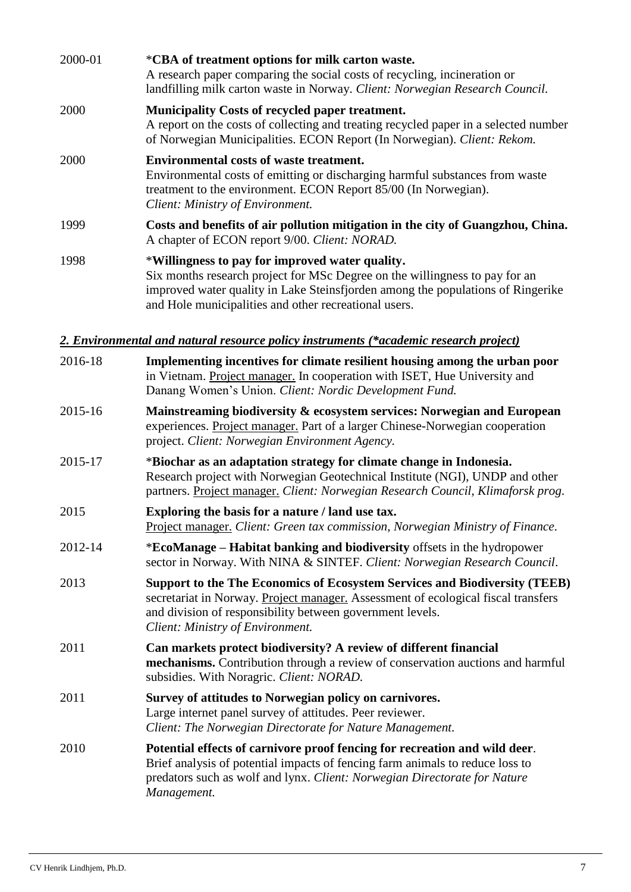| 2000-01 | *CBA of treatment options for milk carton waste.<br>A research paper comparing the social costs of recycling, incineration or<br>landfilling milk carton waste in Norway. Client: Norwegian Research Council.                                                              |
|---------|----------------------------------------------------------------------------------------------------------------------------------------------------------------------------------------------------------------------------------------------------------------------------|
| 2000    | <b>Municipality Costs of recycled paper treatment.</b><br>A report on the costs of collecting and treating recycled paper in a selected number<br>of Norwegian Municipalities. ECON Report (In Norwegian). Client: Rekom.                                                  |
| 2000    | <b>Environmental costs of waste treatment.</b><br>Environmental costs of emitting or discharging harmful substances from waste<br>treatment to the environment. ECON Report 85/00 (In Norwegian).<br>Client: Ministry of Environment.                                      |
| 1999    | Costs and benefits of air pollution mitigation in the city of Guangzhou, China.<br>A chapter of ECON report 9/00. Client: NORAD.                                                                                                                                           |
| 1998    | *Willingness to pay for improved water quality.<br>Six months research project for MSc Degree on the willingness to pay for an<br>improved water quality in Lake Steinsfjorden among the populations of Ringerike<br>and Hole municipalities and other recreational users. |

# *2. Environmental and natural resource policy instruments (\*academic research project)*

| 2016-18 | Implementing incentives for climate resilient housing among the urban poor<br>in Vietnam. Project manager. In cooperation with ISET, Hue University and<br>Danang Women's Union. Client: Nordic Development Fund.                                                       |
|---------|-------------------------------------------------------------------------------------------------------------------------------------------------------------------------------------------------------------------------------------------------------------------------|
| 2015-16 | Mainstreaming biodiversity & ecosystem services: Norwegian and European<br>experiences. Project manager. Part of a larger Chinese-Norwegian cooperation<br>project. Client: Norwegian Environment Agency.                                                               |
| 2015-17 | *Biochar as an adaptation strategy for climate change in Indonesia.<br>Research project with Norwegian Geotechnical Institute (NGI), UNDP and other<br>partners. Project manager. Client: Norwegian Research Council, Klimaforsk prog.                                  |
| 2015    | Exploring the basis for a nature / land use tax.<br>Project manager. Client: Green tax commission, Norwegian Ministry of Finance.                                                                                                                                       |
| 2012-14 | *EcoManage – Habitat banking and biodiversity offsets in the hydropower<br>sector in Norway. With NINA & SINTEF. Client: Norwegian Research Council.                                                                                                                    |
| 2013    | <b>Support to the The Economics of Ecosystem Services and Biodiversity (TEEB)</b><br>secretariat in Norway. Project manager. Assessment of ecological fiscal transfers<br>and division of responsibility between government levels.<br>Client: Ministry of Environment. |
| 2011    | Can markets protect biodiversity? A review of different financial<br>mechanisms. Contribution through a review of conservation auctions and harmful<br>subsidies. With Noragric. Client: NORAD.                                                                         |
| 2011    | Survey of attitudes to Norwegian policy on carnivores.<br>Large internet panel survey of attitudes. Peer reviewer.<br>Client: The Norwegian Directorate for Nature Management.                                                                                          |
| 2010    | Potential effects of carnivore proof fencing for recreation and wild deer.<br>Brief analysis of potential impacts of fencing farm animals to reduce loss to<br>predators such as wolf and lynx. Client: Norwegian Directorate for Nature<br>Management.                 |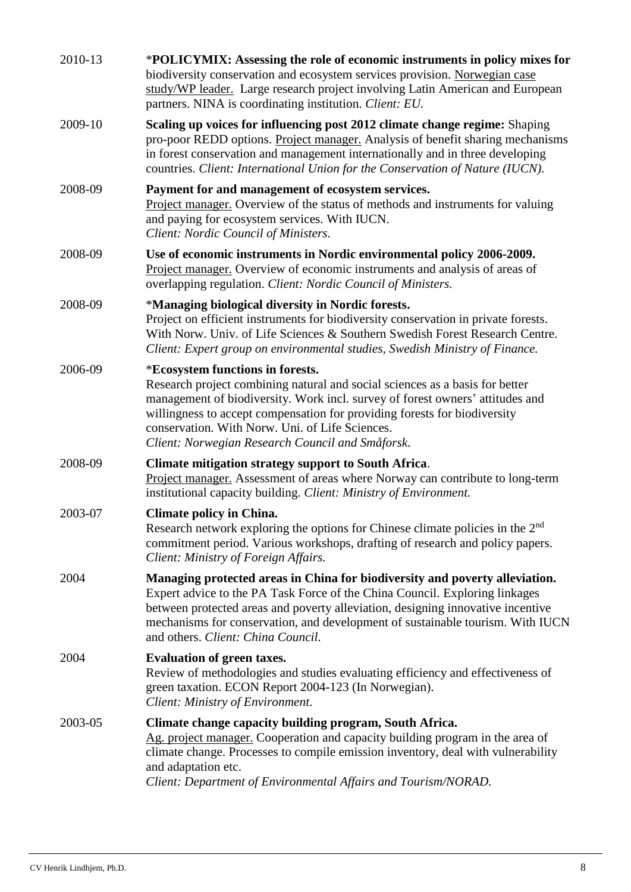| 2010-13 | *POLICYMIX: Assessing the role of economic instruments in policy mixes for<br>biodiversity conservation and ecosystem services provision. Norwegian case<br>study/WP leader. Large research project involving Latin American and European<br>partners. NINA is coordinating institution. Client: EU.                                                                                  |
|---------|---------------------------------------------------------------------------------------------------------------------------------------------------------------------------------------------------------------------------------------------------------------------------------------------------------------------------------------------------------------------------------------|
| 2009-10 | Scaling up voices for influencing post 2012 climate change regime: Shaping<br>pro-poor REDD options. Project manager. Analysis of benefit sharing mechanisms<br>in forest conservation and management internationally and in three developing<br>countries. Client: International Union for the Conservation of Nature (IUCN).                                                        |
| 2008-09 | Payment for and management of ecosystem services.<br>Project manager. Overview of the status of methods and instruments for valuing<br>and paying for ecosystem services. With IUCN.<br>Client: Nordic Council of Ministers.                                                                                                                                                          |
| 2008-09 | Use of economic instruments in Nordic environmental policy 2006-2009.<br>Project manager. Overview of economic instruments and analysis of areas of<br>overlapping regulation. Client: Nordic Council of Ministers.                                                                                                                                                                   |
| 2008-09 | *Managing biological diversity in Nordic forests.<br>Project on efficient instruments for biodiversity conservation in private forests.<br>With Norw. Univ. of Life Sciences & Southern Swedish Forest Research Centre.<br>Client: Expert group on environmental studies, Swedish Ministry of Finance.                                                                                |
| 2006-09 | *Ecosystem functions in forests.<br>Research project combining natural and social sciences as a basis for better<br>management of biodiversity. Work incl. survey of forest owners' attitudes and<br>willingness to accept compensation for providing forests for biodiversity<br>conservation. With Norw. Uni. of Life Sciences.<br>Client: Norwegian Research Council and Småforsk. |
| 2008-09 | Climate mitigation strategy support to South Africa.<br>Project manager. Assessment of areas where Norway can contribute to long-term<br>institutional capacity building. Client: Ministry of Environment.                                                                                                                                                                            |
| 2003-07 | <b>Climate policy in China.</b><br>Research network exploring the options for Chinese climate policies in the 2 <sup>nd</sup><br>commitment period. Various workshops, drafting of research and policy papers.<br>Client: Ministry of Foreign Affairs.                                                                                                                                |
| 2004    | Managing protected areas in China for biodiversity and poverty alleviation.<br>Expert advice to the PA Task Force of the China Council. Exploring linkages<br>between protected areas and poverty alleviation, designing innovative incentive<br>mechanisms for conservation, and development of sustainable tourism. With IUCN<br>and others. Client: China Council.                 |
| 2004    | <b>Evaluation of green taxes.</b><br>Review of methodologies and studies evaluating efficiency and effectiveness of<br>green taxation. ECON Report 2004-123 (In Norwegian).<br>Client: Ministry of Environment.                                                                                                                                                                       |
| 2003-05 | Climate change capacity building program, South Africa.<br>Ag. project manager. Cooperation and capacity building program in the area of<br>climate change. Processes to compile emission inventory, deal with vulnerability<br>and adaptation etc.<br>Client: Department of Environmental Affairs and Tourism/NORAD.                                                                 |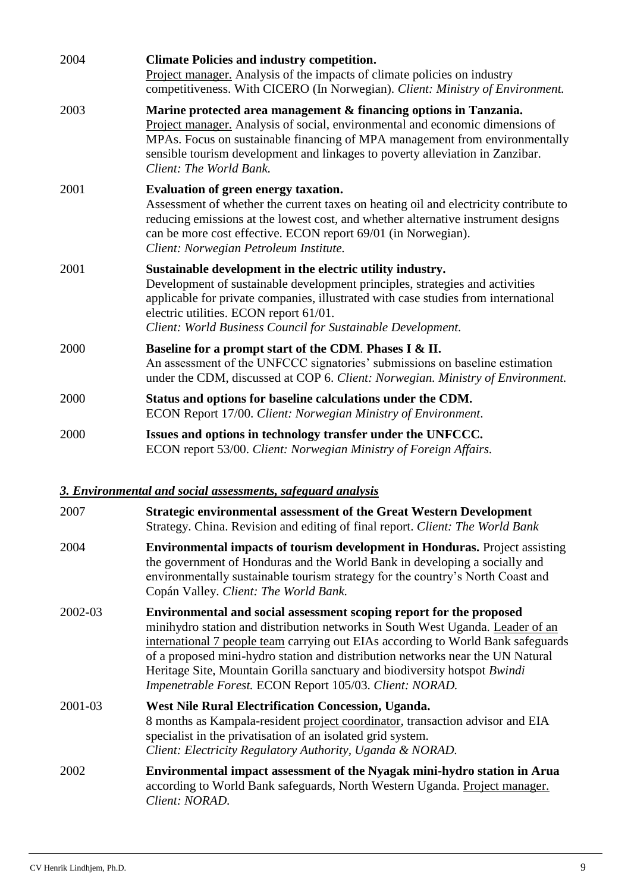| 2004 | <b>Climate Policies and industry competition.</b><br>Project manager. Analysis of the impacts of climate policies on industry<br>competitiveness. With CICERO (In Norwegian). Client: Ministry of Environment.                                                                                                                                |
|------|-----------------------------------------------------------------------------------------------------------------------------------------------------------------------------------------------------------------------------------------------------------------------------------------------------------------------------------------------|
| 2003 | Marine protected area management & financing options in Tanzania.<br>Project manager. Analysis of social, environmental and economic dimensions of<br>MPAs. Focus on sustainable financing of MPA management from environmentally<br>sensible tourism development and linkages to poverty alleviation in Zanzibar.<br>Client: The World Bank. |
| 2001 | Evaluation of green energy taxation.<br>Assessment of whether the current taxes on heating oil and electricity contribute to<br>reducing emissions at the lowest cost, and whether alternative instrument designs<br>can be more cost effective. ECON report 69/01 (in Norwegian).<br>Client: Norwegian Petroleum Institute.                  |
| 2001 | Sustainable development in the electric utility industry.<br>Development of sustainable development principles, strategies and activities<br>applicable for private companies, illustrated with case studies from international<br>electric utilities. ECON report 61/01.<br>Client: World Business Council for Sustainable Development.      |
| 2000 | Baseline for a prompt start of the CDM. Phases I & II.<br>An assessment of the UNFCCC signatories' submissions on baseline estimation<br>under the CDM, discussed at COP 6. Client: Norwegian. Ministry of Environment.                                                                                                                       |
| 2000 | Status and options for baseline calculations under the CDM.<br>ECON Report 17/00. Client: Norwegian Ministry of Environment.                                                                                                                                                                                                                  |
| 2000 | Issues and options in technology transfer under the UNFCCC.<br>ECON report 53/00. Client: Norwegian Ministry of Foreign Affairs.                                                                                                                                                                                                              |

# *3. Environmental and social assessments, safeguard analysis*

| 2007    | <b>Strategic environmental assessment of the Great Western Development</b><br>Strategy. China. Revision and editing of final report. Client: The World Bank                                                                                                                                                                                                                                                                                                         |
|---------|---------------------------------------------------------------------------------------------------------------------------------------------------------------------------------------------------------------------------------------------------------------------------------------------------------------------------------------------------------------------------------------------------------------------------------------------------------------------|
| 2004    | <b>Environmental impacts of tourism development in Honduras.</b> Project assisting<br>the government of Honduras and the World Bank in developing a socially and<br>environmentally sustainable tourism strategy for the country's North Coast and<br>Copán Valley. Client: The World Bank.                                                                                                                                                                         |
| 2002-03 | Environmental and social assessment scoping report for the proposed<br>minihydro station and distribution networks in South West Uganda. Leader of an<br>international 7 people team carrying out EIAs according to World Bank safeguards<br>of a proposed mini-hydro station and distribution networks near the UN Natural<br>Heritage Site, Mountain Gorilla sanctuary and biodiversity hotspot Bwindi<br>Impenetrable Forest. ECON Report 105/03. Client: NORAD. |
| 2001-03 | West Nile Rural Electrification Concession, Uganda.<br>8 months as Kampala-resident project coordinator, transaction advisor and EIA<br>specialist in the privatisation of an isolated grid system.<br>Client: Electricity Regulatory Authority, Uganda & NORAD.                                                                                                                                                                                                    |
| 2002    | Environmental impact assessment of the Nyagak mini-hydro station in Arua<br>according to World Bank safeguards, North Western Uganda. Project manager.<br>Client: NORAD.                                                                                                                                                                                                                                                                                            |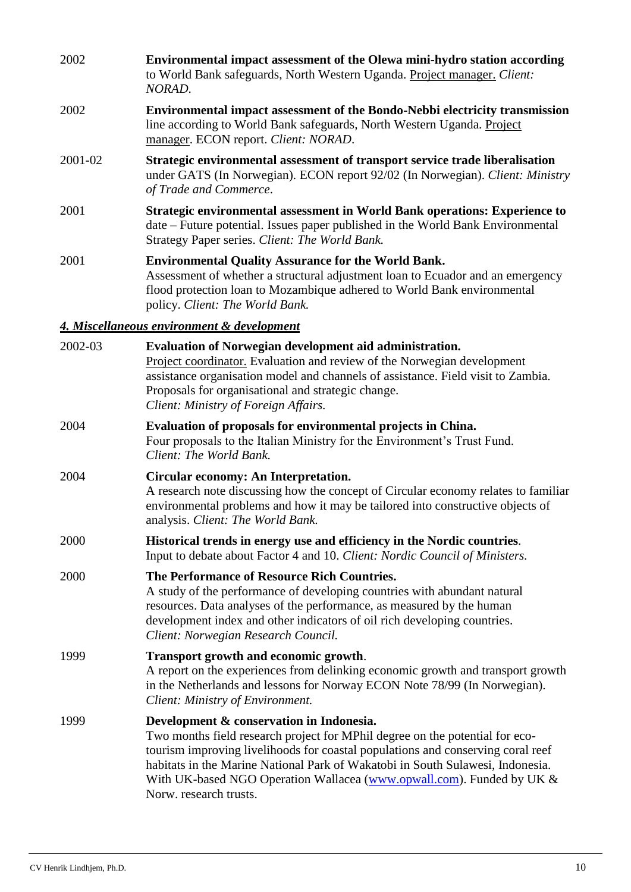| 2002    | Environmental impact assessment of the Olewa mini-hydro station according<br>to World Bank safeguards, North Western Uganda. Project manager. Client:<br>NORAD.                                                                                                                                                                                                                                  |
|---------|--------------------------------------------------------------------------------------------------------------------------------------------------------------------------------------------------------------------------------------------------------------------------------------------------------------------------------------------------------------------------------------------------|
| 2002    | Environmental impact assessment of the Bondo-Nebbi electricity transmission<br>line according to World Bank safeguards, North Western Uganda. Project<br>manager. ECON report. Client: NORAD.                                                                                                                                                                                                    |
| 2001-02 | Strategic environmental assessment of transport service trade liberalisation<br>under GATS (In Norwegian). ECON report 92/02 (In Norwegian). Client: Ministry<br>of Trade and Commerce.                                                                                                                                                                                                          |
| 2001    | Strategic environmental assessment in World Bank operations: Experience to<br>date – Future potential. Issues paper published in the World Bank Environmental<br>Strategy Paper series. Client: The World Bank.                                                                                                                                                                                  |
| 2001    | <b>Environmental Quality Assurance for the World Bank.</b><br>Assessment of whether a structural adjustment loan to Ecuador and an emergency<br>flood protection loan to Mozambique adhered to World Bank environmental<br>policy. Client: The World Bank.                                                                                                                                       |
|         | 4. Miscellaneous environment & development                                                                                                                                                                                                                                                                                                                                                       |
| 2002-03 | Evaluation of Norwegian development aid administration.<br>Project coordinator. Evaluation and review of the Norwegian development<br>assistance organisation model and channels of assistance. Field visit to Zambia.<br>Proposals for organisational and strategic change.<br>Client: Ministry of Foreign Affairs.                                                                             |
| 2004    | Evaluation of proposals for environmental projects in China.<br>Four proposals to the Italian Ministry for the Environment's Trust Fund.<br>Client: The World Bank.                                                                                                                                                                                                                              |
| 2004    | Circular economy: An Interpretation.<br>A research note discussing how the concept of Circular economy relates to familiar<br>environmental problems and how it may be tailored into constructive objects of<br>analysis. Client: The World Bank.                                                                                                                                                |
| 2000    | Historical trends in energy use and efficiency in the Nordic countries.<br>Input to debate about Factor 4 and 10. Client: Nordic Council of Ministers.                                                                                                                                                                                                                                           |
| 2000    | The Performance of Resource Rich Countries.<br>A study of the performance of developing countries with abundant natural<br>resources. Data analyses of the performance, as measured by the human<br>development index and other indicators of oil rich developing countries.<br>Client: Norwegian Research Council.                                                                              |
| 1999    | Transport growth and economic growth.<br>A report on the experiences from delinking economic growth and transport growth<br>in the Netherlands and lessons for Norway ECON Note 78/99 (In Norwegian).<br>Client: Ministry of Environment.                                                                                                                                                        |
| 1999    | Development & conservation in Indonesia.<br>Two months field research project for MPhil degree on the potential for eco-<br>tourism improving livelihoods for coastal populations and conserving coral reef<br>habitats in the Marine National Park of Wakatobi in South Sulawesi, Indonesia.<br>With UK-based NGO Operation Wallacea (www.opwall.com). Funded by UK &<br>Norw. research trusts. |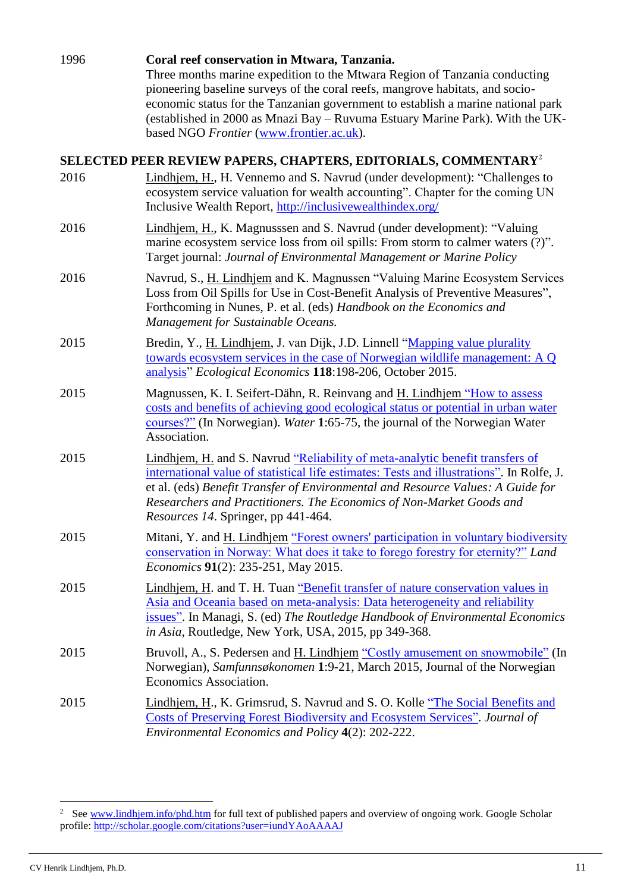| 1996 | Coral reef conservation in Mtwara, Tanzania.<br>Three months marine expedition to the Mtwara Region of Tanzania conducting<br>pioneering baseline surveys of the coral reefs, mangrove habitats, and socio-<br>economic status for the Tanzanian government to establish a marine national park<br>(established in 2000 as Mnazi Bay - Ruvuma Estuary Marine Park). With the UK-<br>based NGO Frontier (www.frontier.ac.uk). |
|------|------------------------------------------------------------------------------------------------------------------------------------------------------------------------------------------------------------------------------------------------------------------------------------------------------------------------------------------------------------------------------------------------------------------------------|
|      | SELECTED PEER REVIEW PAPERS, CHAPTERS, EDITORIALS, COMMENTARY <sup>2</sup>                                                                                                                                                                                                                                                                                                                                                   |
| 2016 | Lindhjem, H., H. Vennemo and S. Navrud (under development): "Challenges to<br>ecosystem service valuation for wealth accounting". Chapter for the coming UN<br>Inclusive Wealth Report, http://inclusivewealthindex.org/                                                                                                                                                                                                     |
| 2016 | Lindhjem, H., K. Magnusssen and S. Navrud (under development): "Valuing<br>marine ecosystem service loss from oil spills: From storm to calmer waters (?)".<br>Target journal: Journal of Environmental Management or Marine Policy                                                                                                                                                                                          |
| 2016 | Navrud, S., H. Lindhjem and K. Magnussen "Valuing Marine Ecosystem Services<br>Loss from Oil Spills for Use in Cost-Benefit Analysis of Preventive Measures",<br>Forthcoming in Nunes, P. et al. (eds) Handbook on the Economics and<br>Management for Sustainable Oceans.                                                                                                                                                   |
| 2015 | Bredin, Y., H. Lindhjem, J. van Dijk, J.D. Linnell "Mapping value plurality<br>towards ecosystem services in the case of Norwegian wildlife management: A Q<br>analysis" Ecological Economics 118:198-206, October 2015.                                                                                                                                                                                                     |
| 2015 | Magnussen, K. I. Seifert-Dähn, R. Reinvang and H. Lindhjem "How to assess<br>costs and benefits of achieving good ecological status or potential in urban water<br>courses?" (In Norwegian). Water 1:65-75, the journal of the Norwegian Water<br>Association.                                                                                                                                                               |
| 2015 | Lindhjem, H. and S. Navrud "Reliability of meta-analytic benefit transfers of<br>international value of statistical life estimates: Tests and illustrations". In Rolfe, J.<br>et al. (eds) Benefit Transfer of Environmental and Resource Values: A Guide for<br>Researchers and Practitioners. The Economics of Non-Market Goods and<br>Resources 14. Springer, pp 441-464.                                                 |
| 2015 | Mitani, Y. and H. Lindhjem "Forest owners' participation in voluntary biodiversity<br>conservation in Norway: What does it take to forego forestry for eternity?" Land<br>Economics 91(2): 235-251, May 2015.                                                                                                                                                                                                                |
| 2015 | Lindhjem, H. and T. H. Tuan "Benefit transfer of nature conservation values in<br>Asia and Oceania based on meta-analysis: Data heterogeneity and reliability<br>issues". In Managi, S. (ed) The Routledge Handbook of Environmental Economics<br>in Asia, Routledge, New York, USA, 2015, pp 349-368.                                                                                                                       |
| 2015 | Bruvoll, A., S. Pedersen and H. Lindhjem "Costly amusement on snowmobile" (In<br>Norwegian), Samfunnsøkonomen 1:9-21, March 2015, Journal of the Norwegian<br>Economics Association.                                                                                                                                                                                                                                         |
| 2015 | Lindhjem, H., K. Grimsrud, S. Navrud and S. O. Kolle "The Social Benefits and<br>Costs of Preserving Forest Biodiversity and Ecosystem Services". Journal of<br>Environmental Economics and Policy 4(2): 202-222.                                                                                                                                                                                                            |

-

<sup>&</sup>lt;sup>2</sup> See [www.lindhjem.info/phd.htm](http://www.lindhjem.info/phd.htm) for full text of published papers and overview of ongoing work. Google Scholar profile[: http://scholar.google.com/citations?user=iundYAoAAAAJ](http://scholar.google.com/citations?user=iundYAoAAAAJ)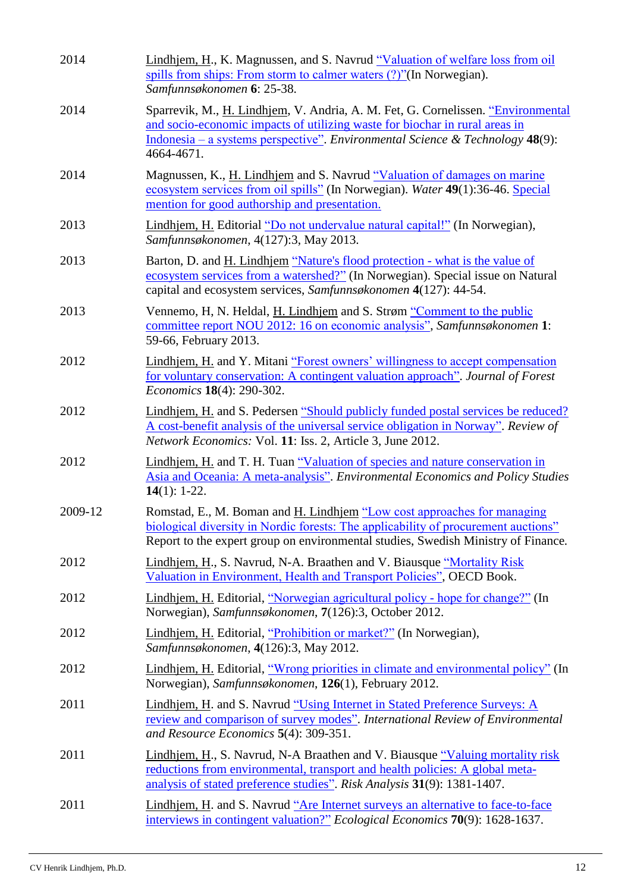| 2014    | Lindhjem, H., K. Magnussen, and S. Navrud "Valuation of welfare loss from oil<br>spills from ships: From storm to calmer waters (?)"(In Norwegian).<br>Samfunnsøkonomen 6: 25-38.                                                                                 |
|---------|-------------------------------------------------------------------------------------------------------------------------------------------------------------------------------------------------------------------------------------------------------------------|
| 2014    | Sparrevik, M., H. Lindhjem, V. Andria, A. M. Fet, G. Cornelissen. "Environmental<br>and socio-economic impacts of utilizing waste for biochar in rural areas in<br>Indonesia – a systems perspective". Environmental Science & Technology $48(9)$ :<br>4664-4671. |
| 2014    | Magnussen, K., H. Lindhjem and S. Navrud "Valuation of damages on marine<br>ecosystem services from oil spills" (In Norwegian). Water 49(1):36-46. Special<br>mention for good authorship and presentation.                                                       |
| 2013    | Lindhjem, H. Editorial "Do not undervalue natural capital!" (In Norwegian),<br>Samfunnsøkonomen, 4(127):3, May 2013.                                                                                                                                              |
| 2013    | Barton, D. and H. Lindhjem "Nature's flood protection - what is the value of<br>ecosystem services from a watershed?" (In Norwegian). Special issue on Natural<br>capital and ecosystem services, Samfunnsøkonomen 4(127): 44-54.                                 |
| 2013    | Vennemo, H, N. Heldal, H. Lindhjem and S. Strøm "Comment to the public<br>committee report NOU 2012: 16 on economic analysis", Samfunnsøkonomen 1:<br>59-66, February 2013.                                                                                       |
| 2012    | Lindhjem, H. and Y. Mitani "Forest owners' willingness to accept compensation<br>for voluntary conservation: A contingent valuation approach". Journal of Forest<br>Economics 18(4): 290-302.                                                                     |
| 2012    | Lindhjem, H. and S. Pedersen "Should publicly funded postal services be reduced?<br>A cost-benefit analysis of the universal service obligation in Norway". Review of<br><i>Network Economics:</i> Vol. 11: Iss. 2, Article 3, June 2012.                         |
| 2012    | Lindhjem, H. and T. H. Tuan "Valuation of species and nature conservation in<br>Asia and Oceania: A meta-analysis". Environmental Economics and Policy Studies<br>14 $(1)$ : 1-22.                                                                                |
| 2009-12 | Romstad, E., M. Boman and H. Lindhjem "Low cost approaches for managing<br>biological diversity in Nordic forests: The applicability of procurement auctions"<br>Report to the expert group on environmental studies, Swedish Ministry of Finance.                |
| 2012    | Lindhjem, H., S. Navrud, N-A. Braathen and V. Biausque "Mortality Risk"<br>Valuation in Environment, Health and Transport Policies", OECD Book.                                                                                                                   |
| 2012    | Lindhjem, H. Editorial, "Norwegian agricultural policy - hope for change?" (In<br>Norwegian), Samfunnsøkonomen, 7(126):3, October 2012.                                                                                                                           |
| 2012    | Lindhjem, H. Editorial, "Prohibition or market?" (In Norwegian),<br>Samfunnsøkonomen, 4(126):3, May 2012.                                                                                                                                                         |
| 2012    | Lindhjem, H. Editorial, "Wrong priorities in climate and environmental policy" (In<br>Norwegian), Samfunnsøkonomen, 126(1), February 2012.                                                                                                                        |
| 2011    | Lindhjem, H. and S. Navrud "Using Internet in Stated Preference Surveys: A<br>review and comparison of survey modes". International Review of Environmental<br>and Resource Economics 5(4): 309-351.                                                              |
| 2011    | Lindhjem, H., S. Navrud, N-A Braathen and V. Biausque "Valuing mortality risk<br>reductions from environmental, transport and health policies: A global meta-<br>analysis of stated preference studies". Risk Analysis 31(9): 1381-1407.                          |
| 2011    | Lindhjem, H. and S. Navrud "Are Internet surveys an alternative to face-to-face<br>interviews in contingent valuation?" Ecological Economics 70(9): 1628-1637.                                                                                                    |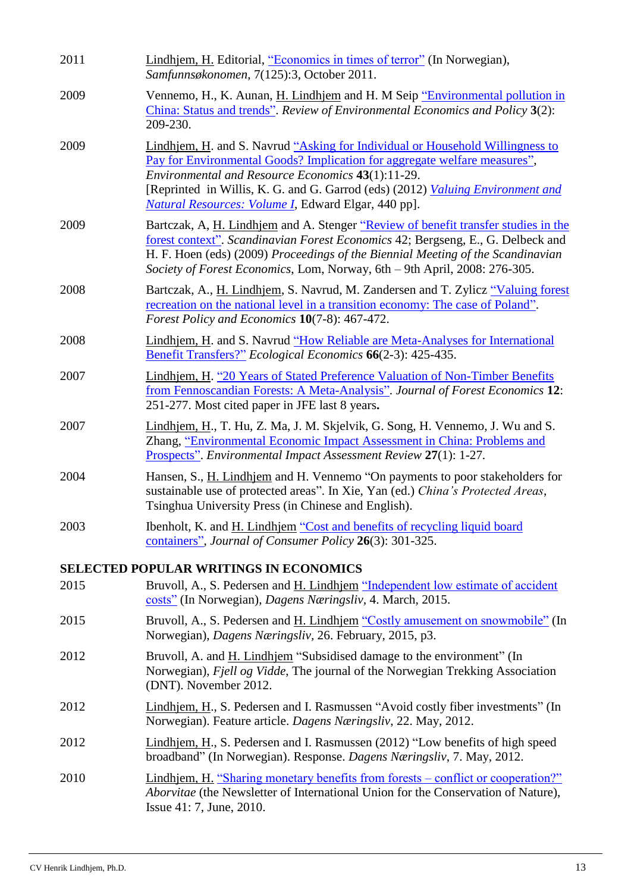| 2011 | Lindhjem, H. Editorial, "Economics in times of terror" (In Norwegian),<br>Samfunnsøkonomen, 7(125):3, October 2011.                                                                                                                                                                                                                                             |
|------|-----------------------------------------------------------------------------------------------------------------------------------------------------------------------------------------------------------------------------------------------------------------------------------------------------------------------------------------------------------------|
| 2009 | Vennemo, H., K. Aunan, H. Lindhjem and H. M Seip "Environmental pollution in<br>China: Status and trends". Review of Environmental Economics and Policy 3(2):<br>209-230.                                                                                                                                                                                       |
| 2009 | Lindhjem, H. and S. Navrud "Asking for Individual or Household Willingness to<br>Pay for Environmental Goods? Implication for aggregate welfare measures",<br>Environmental and Resource Economics 43(1):11-29.<br>[Reprinted in Willis, K. G. and G. Garrod (eds) (2012) <i>Valuing Environment and</i><br>Natural Resources: Volume I, Edward Elgar, 440 pp]. |
| 2009 | Bartczak, A, H. Lindhjem and A. Stenger "Review of benefit transfer studies in the<br>forest context". Scandinavian Forest Economics 42; Bergseng, E., G. Delbeck and<br>H. F. Hoen (eds) (2009) Proceedings of the Biennial Meeting of the Scandinavian<br>Society of Forest Economics, Lom, Norway, 6th - 9th April, 2008: 276-305.                           |
| 2008 | Bartczak, A., H. Lindhjem, S. Navrud, M. Zandersen and T. Zylicz "Valuing forest<br>recreation on the national level in a transition economy: The case of Poland".<br>Forest Policy and Economics 10(7-8): 467-472.                                                                                                                                             |
| 2008 | Lindhjem, H. and S. Navrud "How Reliable are Meta-Analyses for International<br>Benefit Transfers?" Ecological Economics 66(2-3): 425-435.                                                                                                                                                                                                                      |
| 2007 | Lindhjem, H. "20 Years of Stated Preference Valuation of Non-Timber Benefits<br>from Fennoscandian Forests: A Meta-Analysis". Journal of Forest Economics 12:<br>251-277. Most cited paper in JFE last 8 years.                                                                                                                                                 |
| 2007 | Lindhjem, H., T. Hu, Z. Ma, J. M. Skjelvik, G. Song, H. Vennemo, J. Wu and S.<br>Zhang, "Environmental Economic Impact Assessment in China: Problems and<br><b>Prospects".</b> Environmental Impact Assessment Review 27(1): 1-27.                                                                                                                              |
| 2004 | Hansen, S., H. Lindhjem and H. Vennemo "On payments to poor stakeholders for<br>sustainable use of protected areas". In Xie, Yan (ed.) China's Protected Areas,<br>Tsinghua University Press (in Chinese and English).                                                                                                                                          |
| 2003 | Ibenholt, K. and H. Lindhjem "Cost and benefits of recycling liquid board<br>containers", Journal of Consumer Policy 26(3): 301-325.                                                                                                                                                                                                                            |
|      | <b>SELECTED POPULAR WRITINGS IN ECONOMICS</b>                                                                                                                                                                                                                                                                                                                   |
| 2015 | Bruvoll, A., S. Pedersen and H. Lindhjem "Independent low estimate of accident<br>costs" (In Norwegian), Dagens Næringsliv, 4. March, 2015.                                                                                                                                                                                                                     |
| 2015 | Bruvoll, A., S. Pedersen and H. Lindhjem "Costly amusement on snowmobile" (In<br>Norwegian), Dagens Næringsliv, 26. February, 2015, p3.                                                                                                                                                                                                                         |
| 2012 | Bruvoll, A. and H. Lindhjem "Subsidised damage to the environment" (In<br>Norwegian), Fjell og Vidde, The journal of the Norwegian Trekking Association<br>(DNT). November 2012.                                                                                                                                                                                |
| 2012 | Lindhjem, H., S. Pedersen and I. Rasmussen "Avoid costly fiber investments" (In<br>Norwegian). Feature article. Dagens Næringsliv, 22. May, 2012.                                                                                                                                                                                                               |
| 2012 | Lindhjem, H., S. Pedersen and I. Rasmussen (2012) "Low benefits of high speed<br>broadband" (In Norwegian). Response. Dagens Næringsliv, 7. May, 2012.                                                                                                                                                                                                          |
| 2010 | Lindhjem, H. "Sharing monetary benefits from forests – conflict or cooperation?"<br>Aborvitae (the Newsletter of International Union for the Conservation of Nature),<br>Issue 41: 7, June, 2010.                                                                                                                                                               |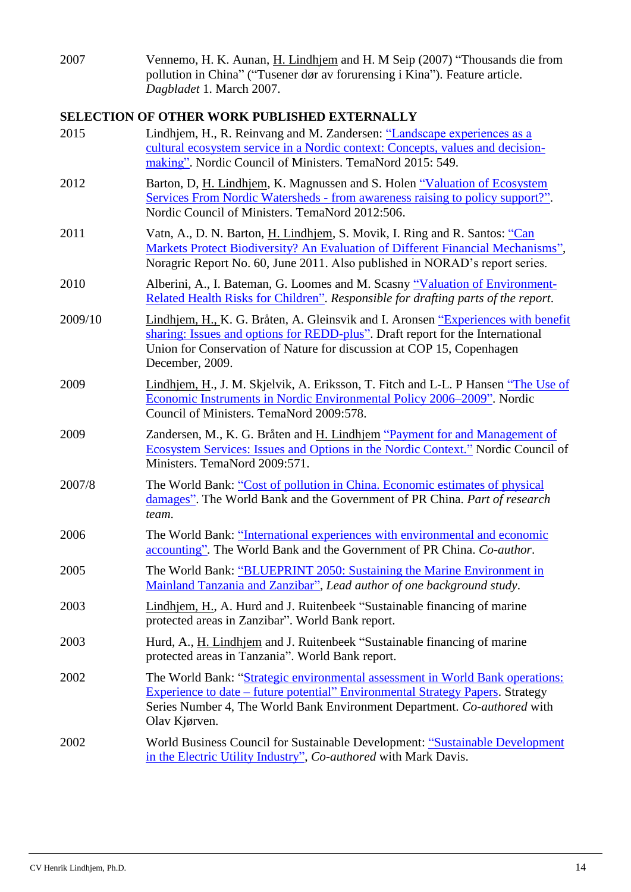2007 Vennemo, H. K. Aunan, H. Lindhjem and H. M Seip (2007) "Thousands die from pollution in China" ("Tusener dør av forurensing i Kina"). Feature article. *Dagbladet* 1. March 2007.

### **SELECTION OF OTHER WORK PUBLISHED EXTERNALLY**

| 2015    | Lindhjem, H., R. Reinvang and M. Zandersen: "Landscape experiences as a<br>cultural ecosystem service in a Nordic context: Concepts, values and decision-<br>making". Nordic Council of Ministers. TemaNord 2015: 549.                                              |
|---------|---------------------------------------------------------------------------------------------------------------------------------------------------------------------------------------------------------------------------------------------------------------------|
| 2012    | Barton, D, H. Lindhjem, K. Magnussen and S. Holen "Valuation of Ecosystem<br>Services From Nordic Watersheds - from awareness raising to policy support?".<br>Nordic Council of Ministers. TemaNord 2012:506.                                                       |
| 2011    | Vatn, A., D. N. Barton, H. Lindhjem, S. Movik, I. Ring and R. Santos: "Can<br>Markets Protect Biodiversity? An Evaluation of Different Financial Mechanisms",<br>Noragric Report No. 60, June 2011. Also published in NORAD's report series.                        |
| 2010    | Alberini, A., I. Bateman, G. Loomes and M. Scasny "Valuation of Environment-<br>Related Health Risks for Children". Responsible for drafting parts of the report.                                                                                                   |
| 2009/10 | Lindhjem, H., K. G. Bråten, A. Gleinsvik and I. Aronsen "Experiences with benefit<br>sharing: Issues and options for REDD-plus". Draft report for the International<br>Union for Conservation of Nature for discussion at COP 15, Copenhagen<br>December, 2009.     |
| 2009    | Lindhjem, H., J. M. Skjelvik, A. Eriksson, T. Fitch and L-L. P Hansen "The Use of<br>Economic Instruments in Nordic Environmental Policy 2006-2009". Nordic<br>Council of Ministers. TemaNord 2009:578.                                                             |
| 2009    | Zandersen, M., K. G. Bråten and H. Lindhjem "Payment for and Management of<br>Ecosystem Services: Issues and Options in the Nordic Context." Nordic Council of<br>Ministers. TemaNord 2009:571.                                                                     |
| 2007/8  | The World Bank: "Cost of pollution in China. Economic estimates of physical<br>damages". The World Bank and the Government of PR China. Part of research<br>team.                                                                                                   |
| 2006    | The World Bank: "International experiences with environmental and economic<br>accounting". The World Bank and the Government of PR China. Co-author.                                                                                                                |
| 2005    | The World Bank: "BLUEPRINT 2050: Sustaining the Marine Environment in<br>Mainland Tanzania and Zanzibar", Lead author of one background study.                                                                                                                      |
| 2003    | Lindhjem, H., A. Hurd and J. Ruitenbeek "Sustainable financing of marine<br>protected areas in Zanzibar". World Bank report.                                                                                                                                        |
| 2003    | Hurd, A., H. Lindhjem and J. Ruitenbeek "Sustainable financing of marine<br>protected areas in Tanzania". World Bank report.                                                                                                                                        |
| 2002    | The World Bank: "Strategic environmental assessment in World Bank operations:<br><b>Experience to date – future potential" Environmental Strategy Papers. Strategy</b><br>Series Number 4, The World Bank Environment Department. Co-authored with<br>Olav Kjørven. |
| 2002    | World Business Council for Sustainable Development: "Sustainable Development<br>in the Electric Utility Industry", Co-authored with Mark Davis.                                                                                                                     |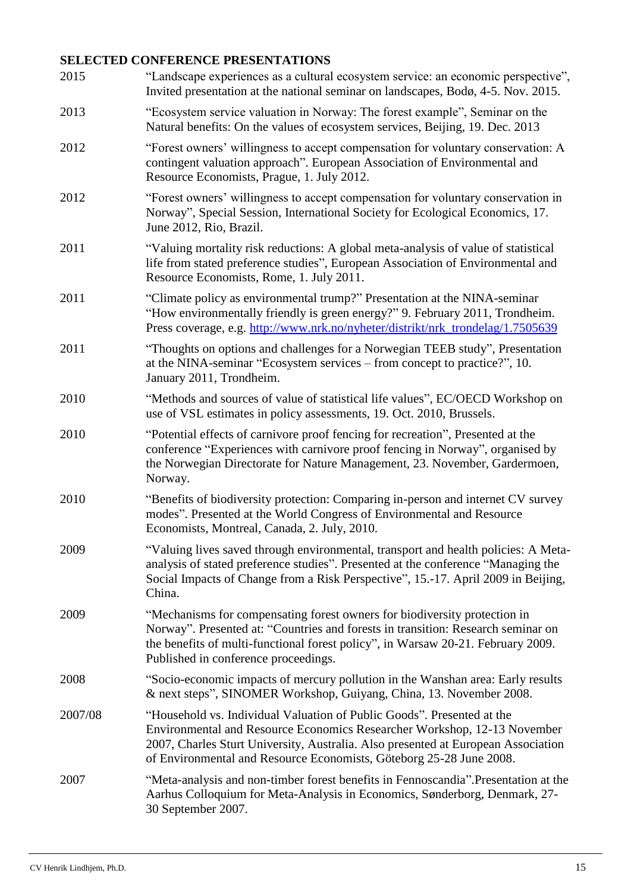# **SELECTED CONFERENCE PRESENTATIONS**

| 2015    | "Landscape experiences as a cultural ecosystem service: an economic perspective",<br>Invited presentation at the national seminar on landscapes, Bodø, 4-5. Nov. 2015.                                                                                                                                         |
|---------|----------------------------------------------------------------------------------------------------------------------------------------------------------------------------------------------------------------------------------------------------------------------------------------------------------------|
| 2013    | "Ecosystem service valuation in Norway: The forest example", Seminar on the<br>Natural benefits: On the values of ecosystem services, Beijing, 19. Dec. 2013                                                                                                                                                   |
| 2012    | "Forest owners' willingness to accept compensation for voluntary conservation: A<br>contingent valuation approach". European Association of Environmental and<br>Resource Economists, Prague, 1. July 2012.                                                                                                    |
| 2012    | "Forest owners' willingness to accept compensation for voluntary conservation in<br>Norway", Special Session, International Society for Ecological Economics, 17.<br>June 2012, Rio, Brazil.                                                                                                                   |
| 2011    | "Valuing mortality risk reductions: A global meta-analysis of value of statistical<br>life from stated preference studies", European Association of Environmental and<br>Resource Economists, Rome, 1. July 2011.                                                                                              |
| 2011    | "Climate policy as environmental trump?" Presentation at the NINA-seminar<br>"How environmentally friendly is green energy?" 9. February 2011, Trondheim.<br>Press coverage, e.g. http://www.nrk.no/nyheter/distrikt/nrk_trondelag/1.7505639                                                                   |
| 2011    | "Thoughts on options and challenges for a Norwegian TEEB study", Presentation<br>at the NINA-seminar "Ecosystem services – from concept to practice?", 10.<br>January 2011, Trondheim.                                                                                                                         |
| 2010    | "Methods and sources of value of statistical life values", EC/OECD Workshop on<br>use of VSL estimates in policy assessments, 19. Oct. 2010, Brussels.                                                                                                                                                         |
| 2010    | "Potential effects of carnivore proof fencing for recreation", Presented at the<br>conference "Experiences with carnivore proof fencing in Norway", organised by<br>the Norwegian Directorate for Nature Management, 23. November, Gardermoen,<br>Norway.                                                      |
| 2010    | "Benefits of biodiversity protection: Comparing in-person and internet CV survey<br>modes". Presented at the World Congress of Environmental and Resource<br>Economists, Montreal, Canada, 2. July, 2010.                                                                                                      |
| 2009    | "Valuing lives saved through environmental, transport and health policies: A Meta-<br>analysis of stated preference studies". Presented at the conference "Managing the<br>Social Impacts of Change from a Risk Perspective", 15.-17. April 2009 in Beijing,<br>China.                                         |
| 2009    | "Mechanisms for compensating forest owners for biodiversity protection in<br>Norway". Presented at: "Countries and forests in transition: Research seminar on<br>the benefits of multi-functional forest policy", in Warsaw 20-21. February 2009.<br>Published in conference proceedings.                      |
| 2008    | "Socio-economic impacts of mercury pollution in the Wanshan area: Early results<br>& next steps", SINOMER Workshop, Guiyang, China, 13. November 2008.                                                                                                                                                         |
| 2007/08 | "Household vs. Individual Valuation of Public Goods". Presented at the<br>Environmental and Resource Economics Researcher Workshop, 12-13 November<br>2007, Charles Sturt University, Australia. Also presented at European Association<br>of Environmental and Resource Economists, Göteborg 25-28 June 2008. |
| 2007    | "Meta-analysis and non-timber forest benefits in Fennoscandia". Presentation at the<br>Aarhus Colloquium for Meta-Analysis in Economics, Sønderborg, Denmark, 27-<br>30 September 2007.                                                                                                                        |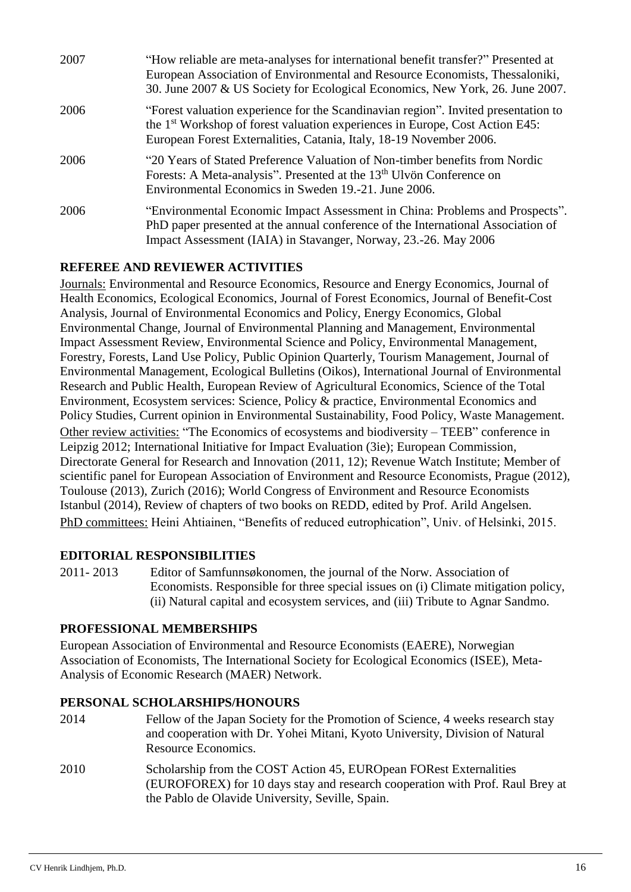| 2007 | "How reliable are meta-analyses for international benefit transfer?" Presented at<br>European Association of Environmental and Resource Economists, Thessaloniki,<br>30. June 2007 & US Society for Ecological Economics, New York, 26. June 2007.    |
|------|-------------------------------------------------------------------------------------------------------------------------------------------------------------------------------------------------------------------------------------------------------|
| 2006 | "Forest valuation experience for the Scandinavian region". Invited presentation to<br>the 1 <sup>st</sup> Workshop of forest valuation experiences in Europe, Cost Action E45:<br>European Forest Externalities, Catania, Italy, 18-19 November 2006. |
| 2006 | "20 Years of Stated Preference Valuation of Non-timber benefits from Nordic<br>Forests: A Meta-analysis". Presented at the 13 <sup>th</sup> Ulvön Conference on<br>Environmental Economics in Sweden 19.-21. June 2006.                               |
| 2006 | "Environmental Economic Impact Assessment in China: Problems and Prospects".<br>PhD paper presented at the annual conference of the International Association of<br>Impact Assessment (IAIA) in Stavanger, Norway, 23.-26. May 2006                   |

### **REFEREE AND REVIEWER ACTIVITIES**

Journals: Environmental and Resource Economics, Resource and Energy Economics, Journal of Health Economics, Ecological Economics, Journal of Forest Economics, Journal of Benefit-Cost Analysis, Journal of Environmental Economics and Policy, Energy Economics, Global Environmental Change, Journal of Environmental Planning and Management, Environmental Impact Assessment Review, Environmental Science and Policy, Environmental Management, Forestry, Forests, Land Use Policy, Public Opinion Quarterly, Tourism Management, Journal of Environmental Management, Ecological Bulletins (Oikos), International Journal of Environmental Research and Public Health, European Review of Agricultural Economics, Science of the Total Environment, Ecosystem services: Science, Policy & practice, Environmental Economics and Policy Studies, Current opinion in Environmental Sustainability, Food Policy, Waste Management. Other review activities: "The Economics of ecosystems and biodiversity – TEEB" conference in Leipzig 2012; International Initiative for Impact Evaluation (3ie); European Commission, Directorate General for Research and Innovation (2011, 12); Revenue Watch Institute; Member of scientific panel for European Association of Environment and Resource Economists, Prague (2012), Toulouse (2013), Zurich (2016); World Congress of Environment and Resource Economists Istanbul (2014), Review of chapters of two books on REDD, edited by Prof. Arild Angelsen. PhD committees: Heini Ahtiainen, "Benefits of reduced eutrophication", Univ. of Helsinki, 2015.

### **EDITORIAL RESPONSIBILITIES**

2011- 2013 Editor of Samfunnsøkonomen, the journal of the Norw. Association of Economists. Responsible for three special issues on (i) Climate mitigation policy, (ii) Natural capital and ecosystem services, and (iii) Tribute to Agnar Sandmo.

### **PROFESSIONAL MEMBERSHIPS**

European Association of Environmental and Resource Economists (EAERE), Norwegian Association of Economists, The International Society for Ecological Economics (ISEE), Meta-Analysis of Economic Research (MAER) Network.

### **PERSONAL SCHOLARSHIPS/HONOURS**

- 2014 Fellow of the Japan Society for the Promotion of Science, 4 weeks research stay and cooperation with Dr. Yohei Mitani, Kyoto University, Division of Natural Resource Economics.
- 2010 Scholarship from the COST Action 45, EUROpean FORest Externalities (EUROFOREX) for 10 days stay and research cooperation with Prof. Raul Brey at the Pablo de Olavide University, Seville, Spain.